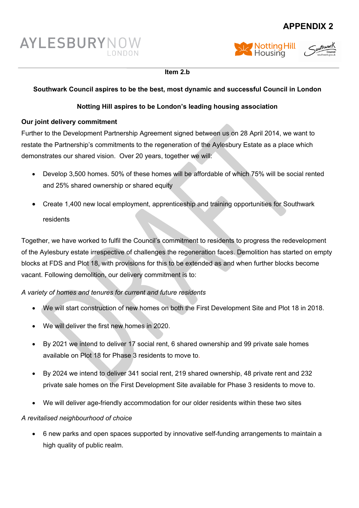# **APPENDIX 2**







#### **Item 2.b**

## **Southwark Council aspires to be the best, most dynamic and successful Council in London**

## **Notting Hill aspires to be London's leading housing association**

#### **Our joint delivery commitment**

Further to the Development Partnership Agreement signed between us on 28 April 2014, we want to restate the Partnership's commitments to the regeneration of the Aylesbury Estate as a place which demonstrates our shared vision. Over 20 years, together we will:

- Develop 3,500 homes. 50% of these homes will be affordable of which 75% will be social rented and 25% shared ownership or shared equity
- Create 1,400 new local employment, apprenticeship and training opportunities for Southwark residents

Together, we have worked to fulfil the Council's commitment to residents to progress the redevelopment of the Aylesbury estate irrespective of challenges the regeneration faces. Demolition has started on empty blocks at FDS and Plot 18, with provisions for this to be extended as and when further blocks become vacant. Following demolition, our delivery commitment is to:

## *A variety of homes and tenures for current and future residents*

- We will start construction of new homes on both the First Development Site and Plot 18 in 2018.
- We will deliver the first new homes in 2020.
- By 2021 we intend to deliver 17 social rent, 6 shared ownership and 99 private sale homes available on Plot 18 for Phase 3 residents to move to.
- By 2024 we intend to deliver 341 social rent, 219 shared ownership, 48 private rent and 232 private sale homes on the First Development Site available for Phase 3 residents to move to.
- We will deliver age-friendly accommodation for our older residents within these two sites

#### *A revitalised neighbourhood of choice*

 6 new parks and open spaces supported by innovative self-funding arrangements to maintain a high quality of public realm.